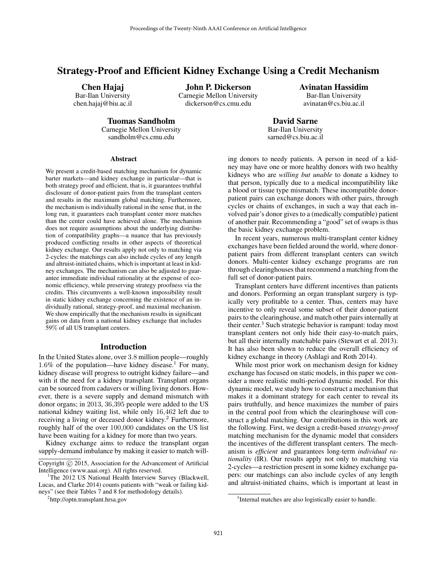# Strategy-Proof and Efficient Kidney Exchange Using a Credit Mechanism

Chen Hajaj

Bar-Ilan University chen.hajaj@biu.ac.il John P. Dickerson

Carnegie Mellon University dickerson@cs.cmu.edu

Avinatan Hassidim Bar-Ilan University avinatan@cs.biu.ac.il

# Tuomas Sandholm

Carnegie Mellon University sandholm@cs.cmu.edu

David Sarne Bar-Ilan University sarned@cs.biu.ac.il

#### Abstract

We present a credit-based matching mechanism for dynamic barter markets—and kidney exchange in particular—that is both strategy proof and efficient, that is, it guarantees truthful disclosure of donor-patient pairs from the transplant centers and results in the maximum global matching. Furthermore, the mechanism is individually rational in the sense that, in the long run, it guarantees each transplant center more matches than the center could have achieved alone. The mechanism does not require assumptions about the underlying distribution of compatibility graphs—a nuance that has previously produced conflicting results in other aspects of theoretical kidney exchange. Our results apply not only to matching via 2-cycles: the matchings can also include cycles of any length and altruist-initiated chains, which is important at least in kidney exchanges. The mechanism can also be adjusted to guarantee immediate individual rationality at the expense of economic efficiency, while preserving strategy proofness via the credits. This circumvents a well-known impossibility result in static kidney exchange concerning the existence of an individually rational, strategy-proof, and maximal mechanism. We show empirically that the mechanism results in significant gains on data from a national kidney exchange that includes 59% of all US transplant centers.

#### Introduction

In the United States alone, over 3.8 million people—roughly 1.6% of the population—have kidney disease.<sup>1</sup> For many, kidney disease will progress to outright kidney failure—and with it the need for a kidney transplant. Transplant organs can be sourced from cadavers or willing living donors. However, there is a severe supply and demand mismatch with donor organs; in 2013, 36,395 people were added to the US national kidney waiting list, while only 16,462 left due to receiving a living or deceased donor kidney.<sup>2</sup> Furthermore, roughly half of the over 100,000 candidates on the US list have been waiting for a kidney for more than two years.

Kidney exchange aims to reduce the transplant organ supply-demand imbalance by making it easier to match willing donors to needy patients. A person in need of a kidney may have one or more healthy donors with two healthy kidneys who are *willing but unable* to donate a kidney to that person, typically due to a medical incompatibility like a blood or tissue type mismatch. These incompatible donorpatient pairs can exchange donors with other pairs, through cycles or chains of exchanges, in such a way that each involved pair's donor gives to a (medically compatible) patient of another pair. Recommending a "good" set of swaps is thus the basic kidney exchange problem.

In recent years, numerous multi-transplant center kidney exchanges have been fielded around the world, where donorpatient pairs from different transplant centers can switch donors. Multi-center kidney exchange programs are run through clearinghouses that recommend a matching from the full set of donor-patient pairs.

Transplant centers have different incentives than patients and donors. Performing an organ transplant surgery is typically very profitable to a center. Thus, centers may have incentive to only reveal some subset of their donor-patient pairs to the clearinghouse, and match other pairs internally at their center.<sup>3</sup> Such strategic behavior is rampant: today most transplant centers not only hide their easy-to-match pairs, but all their internally matchable pairs (Stewart et al. 2013). It has also been shown to reduce the overall efficiency of kidney exchange in theory (Ashlagi and Roth 2014).

While most prior work on mechanism design for kidney exchange has focused on static models, in this paper we consider a more realistic multi-period dynamic model. For this dynamic model, we study how to construct a mechanism that makes it a dominant strategy for each center to reveal its pairs truthfully, and hence maximizes the number of pairs in the central pool from which the clearinghouse will construct a global matching. Our contributions in this work are the following. First, we design a credit-based *strategy-proof* matching mechanism for the dynamic model that considers the incentives of the different transplant centers. The mechanism is *efficient* and guarantees long-term *individual rationality* (IR). Our results apply not only to matching via 2-cycles—a restriction present in some kidney exchange papers: our matchings can also include cycles of any length and altruist-initiated chains, which is important at least in

Copyright © 2015, Association for the Advancement of Artificial Intelligence (www.aaai.org). All rights reserved.

<sup>&</sup>lt;sup>1</sup>The 2012 US National Health Interview Survey (Blackwell, Lucas, and Clarke 2014) counts patients with "weak or failing kidneys" (see their Tables 7 and 8 for methodology details).

<sup>2</sup> http://optn.transplant.hrsa.gov

<sup>&</sup>lt;sup>3</sup>Internal matches are also logistically easier to handle.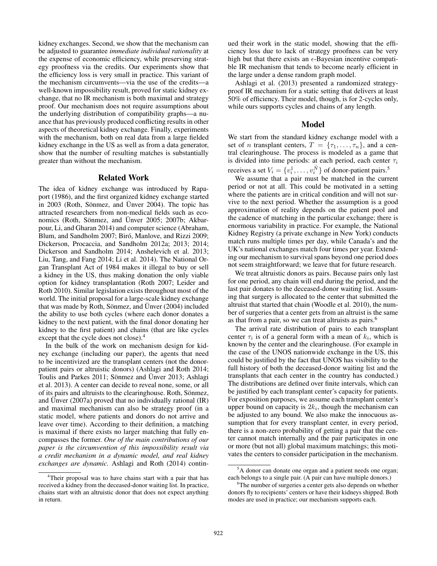kidney exchanges. Second, we show that the mechanism can be adjusted to guarantee *immediate individual rationality* at the expense of economic efficiency, while preserving strategy proofness via the credits. Our experiments show that the efficiency loss is very small in practice. This variant of the mechanism circumvents—via the use of the credits—a well-known impossibility result, proved for static kidney exchange, that no IR mechanism is both maximal and strategy proof. Our mechanism does not require assumptions about the underlying distribution of compatibility graphs—a nuance that has previously produced conflicting results in other aspects of theoretical kidney exchange. Finally, experiments with the mechanism, both on real data from a large fielded kidney exchange in the US as well as from a data generator, show that the number of resulting matches is substantially greater than without the mechanism.

#### Related Work

The idea of kidney exchange was introduced by Rapaport (1986), and the first organized kidney exchange started in 2003 (Roth, Sönmez, and Ünver 2004). The topic has attracted researchers from non-medical fields such as economics (Roth, Sönmez, and Ünver 2005; 2007b; Akbarpour, Li, and Gharan 2014) and computer science (Abraham, Blum, and Sandholm 2007; Biró, Manlove, and Rizzi 2009; Dickerson, Procaccia, and Sandholm 2012a; 2013; 2014; Dickerson and Sandholm 2014; Anshelevich et al. 2013; Liu, Tang, and Fang 2014; Li et al. 2014). The National Organ Transplant Act of 1984 makes it illegal to buy or sell a kidney in the US, thus making donation the only viable option for kidney transplantation (Roth 2007; Leider and Roth 2010). Similar legislation exists throughout most of the world. The initial proposal for a large-scale kidney exchange that was made by Roth, Sönmez, and Ünver (2004) included the ability to use both cycles (where each donor donates a kidney to the next patient, with the final donor donating her kidney to the first patient) and chains (that are like cycles except that the cycle does not close).<sup>4</sup>

In the bulk of the work on mechanism design for kidney exchange (including our paper), the agents that need to be incentivized are the transplant centers (not the donorpatient pairs or altruistic donors) (Ashlagi and Roth 2014; Toulis and Parkes 2011; Sönmez and Ünver 2013; Ashlagi et al. 2013). A center can decide to reveal none, some, or all of its pairs and altruists to the clearinghouse. Roth, Sönmez, and Ünver  $(2007a)$  proved that no individually rational  $(IR)$ and maximal mechanism can also be strategy proof (in a static model, where patients and donors do not arrive and leave over time). According to their definition, a matching is maximal if there exists no larger matching that fully encompasses the former. *One of the main contributions of our paper is the circumvention of this impossibility result via a credit mechanism in a dynamic model, and real kidney exchanges are dynamic.* Ashlagi and Roth (2014) contin-

ued their work in the static model, showing that the efficiency loss due to lack of strategy proofness can be very high but that there exists an  $\epsilon$ -Bayesian incentive compatible IR mechanism that tends to become nearly efficient in the large under a dense random graph model.

Ashlagi et al. (2013) presented a randomized strategyproof IR mechanism for a static setting that delivers at least 50% of efficiency. Their model, though, is for 2-cycles only, while ours supports cycles and chains of any length.

## Model

We start from the standard kidney exchange model with a set of *n* transplant centers,  $T = \{\tau_1, \ldots, \tau_n\}$ , and a central clearinghouse. The process is modeled as a game that is divided into time periods: at each period, each center  $\tau_i$ receives a set  $V_i = \{v_i^1, \dots, v_i^{\hat{N}}\}$  of donor-patient pairs.<sup>5</sup>

We assume that a pair must be matched in the current period or not at all. This could be motivated in a setting where the patients are in critical condition and will not survive to the next period. Whether the assumption is a good approximation of reality depends on the patient pool and the cadence of matching in the particular exchange; there is enormous variability in practice. For example, the National Kidney Registry (a private exchange in New York) conducts match runs multiple times per day, while Canada's and the UK's national exchanges match four times per year. Extending our mechanism to survival spans beyond one period does not seem straightforward; we leave that for future research.

We treat altruistic donors as pairs. Because pairs only last for one period, any chain will end during the period, and the last pair donates to the deceased-donor waiting list. Assuming that surgery is allocated to the center that submitted the altruist that started that chain (Woodle et al. 2010), the number of surgeries that a center gets from an altruist is the same as that from a pair, so we can treat altruists as pairs.<sup>6</sup>

The arrival rate distribution of pairs to each transplant center  $\tau_i$  is of a general form with a mean of  $k_i$ , which is known by the center and the clearinghouse. (For example in the case of the UNOS nationwide exchange in the US, this could be justified by the fact that UNOS has visibility to the full history of both the deceased-donor waiting list and the transplants that each center in the country has conducted.) The distributions are defined over finite intervals, which can be justified by each transplant center's capacity for patients. For exposition purposes, we assume each transplant center's upper bound on capacity is  $2k_i$ , though the mechanism can be adjusted to any bound. We also make the innocuous assumption that for every transplant center, in every period, there is a non-zero probability of getting a pair that the center cannot match internally and the pair participates in one or more (but not all) global maximum matchings; this motivates the centers to consider participation in the mechanism.

<sup>&</sup>lt;sup>4</sup>Their proposal was to have chains start with a pair that has received a kidney from the deceased-donor waiting list. In practice, chains start with an altruistic donor that does not expect anything in return.

<sup>5</sup>A donor can donate one organ and a patient needs one organ; each belongs to a single pair. (A pair can have multiple donors.)

<sup>&</sup>lt;sup>6</sup>The number of surgeries a center gets also depends on whether donors fly to recipients' centers or have their kidneys shipped. Both modes are used in practice; our mechanism supports each.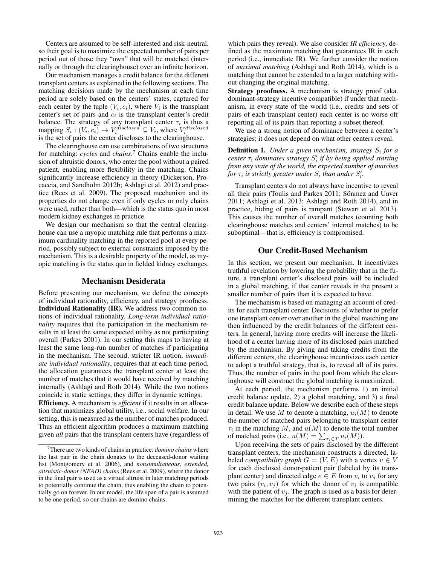Centers are assumed to be self-interested and risk-neutral, so their goal is to maximize the expected number of pairs per period out of those they "own" that will be matched (internally or through the clearinghouse) over an infinite horizon.

Our mechanism manages a credit balance for the different transplant centers as explained in the following sections. The matching decisions made by the mechanism at each time period are solely based on the centers' states, captured for each center by the tuple  $(V_i, c_i)$ , where  $V_i$  is the transplant center's set of pairs and  $c_i$  is the transplant center's credit balance. The strategy of any transplant center  $\tau_i$  is thus a mapping  $S_i : (V_i, c_i) \rightarrow V_i^{disclosed} \subseteq V_i$ , where  $V_i^{disclosed}$ is the set of pairs the center discloses to the clearinghouse.

The clearinghouse can use combinations of two structures for matching: *cycles* and *chains*. <sup>7</sup> Chains enable the inclusion of altruistic donors, who enter the pool without a paired patient, enabling more flexibility in the matching. Chains significantly increase efficiency in theory (Dickerson, Procaccia, and Sandholm 2012b; Ashlagi et al. 2012) and practice (Rees et al. 2009). The proposed mechanism and its properties do not change even if only cycles or only chains were used, rather than both—which is the status quo in most modern kidney exchanges in practice.

We design our mechanism so that the central clearinghouse can use a myopic matching rule that performs a maximum cardinality matching in the reported pool at every period, possibly subject to external constraints imposed by the mechanism. This is a desirable property of the model, as myopic matching is the status quo in fielded kidney exchanges.

### Mechanism Desiderata

Before presenting our mechanism, we define the concepts of individual rationality, efficiency, and strategy proofness. Individual Rationality (IR). We address two common notions of individual rationality. *Long-term individual rationality* requires that the participation in the mechanism results in at least the same expected utility as not participating overall (Parkes 2001). In our setting this maps to having at least the same long-run number of matches if participating in the mechanism. The second, stricter IR notion, *immediate individual rationality*, requires that at each time period, the allocation guarantees the transplant center at least the number of matches that it would have received by matching internally (Ashlagi and Roth 2014). While the two notions coincide in static settings, they differ in dynamic settings.

Efficiency. A mechanism is *efficient* if it results in an allocation that maximizes global utility, i.e., social welfare. In our setting, this is measured as the number of matches produced. Thus an efficient algorithm produces a maximum matching given *all* pairs that the transplant centers have (regardless of which pairs they reveal). We also consider *IR efficienc*y, defined as the maximum matching that guarantees IR in each period (i.e., immediate IR). We further consider the notion of *maximal matching* (Ashlagi and Roth 2014), which is a matching that cannot be extended to a larger matching without changing the original matching.

Strategy proofness. A mechanism is strategy proof (aka. dominant-strategy incentive compatible) if under that mechanism, in every state of the world (i.e., credits and sets of pairs of each transplant center) each center is no worse off reporting all of its pairs than reporting a subset thereof.

We use a strong notion of dominance between a center's strategies; it does not depend on what other centers reveal.

# **Definition 1.** Under a given mechanism, strategy  $S_i$  for a *center*  $\tau_i$  *dominates strategy*  $S_i'$  *if by being applied starting from any state of the world, the expected number of matches for*  $\tau_i$  *is strictly greater under*  $S_i$  *than under*  $S'_i$ *.*

Transplant centers do not always have incentive to reveal all their pairs (Toulis and Parkes  $2011$ ; Sönmez and Ünver 2011; Ashlagi et al. 2013; Ashlagi and Roth 2014), and in practice, hiding of pairs is rampant (Stewart et al. 2013). This causes the number of overall matches (counting both clearinghouse matches and centers' internal matches) to be suboptimal—that is, efficiency is compromised.

## Our Credit-Based Mechanism

In this section, we present our mechanism. It incentivizes truthful revelation by lowering the probability that in the future, a transplant center's disclosed pairs will be included in a global matching, if that center reveals in the present a smaller number of pairs than it is expected to have.

The mechanism is based on managing an account of credits for each transplant center. Decisions of whether to prefer one transplant center over another in the global matching are then influenced by the credit balances of the different centers. In general, having more credits will increase the likelihood of a center having more of its disclosed pairs matched by the mechanism. By giving and taking credits from the different centers, the clearinghouse incentivizes each center to adopt a truthful strategy, that is, to reveal all of its pairs. Thus, the number of pairs in the pool from which the clearinghouse will construct the global matching is maximized.

At each period, the mechanism performs 1) an initial credit balance update, 2) a global matching, and 3) a final credit balance update. Below we describe each of these steps in detail. We use M to denote a matching,  $u_i(M)$  to denote the number of matched pairs belonging to transplant center  $\tau_i$  in the matching M, and  $u(M)$  to denote the total number of matched pairs (i.e.,  $u(M) = \sum_{\tau_i \in T} u_i(M)$ ).

Upon receiving the sets of pairs disclosed by the different transplant centers, the mechanism constructs a directed, labeled *compatibility graph*  $G = (V, E)$  with a vertex  $v \in V$ for each disclosed donor-patient pair (labeled by its transplant center) and directed edge  $e \in E$  from  $v_i$  to  $v_j$  for any two pairs  $(v_i, v_j)$  for which the donor of  $v_i$  is compatible with the patient of  $v_j$ . The graph is used as a basis for determining the matches for the different transplant centers.

<sup>7</sup>There are two kinds of chains in practice: *domino chains* where the last pair in the chain donates to the deceased-donor waiting list (Montgomery et al. 2006), and *nonsimultaneous, extended, altruistic-donor (NEAD) chains* (Rees et al. 2009), where the donor in the final pair is used as a virtual altruist in later matching periods to potentially continue the chain, thus enabling the chain to potentially go on forever. In our model, the life span of a pair is assumed to be one period, so our chains are domino chains.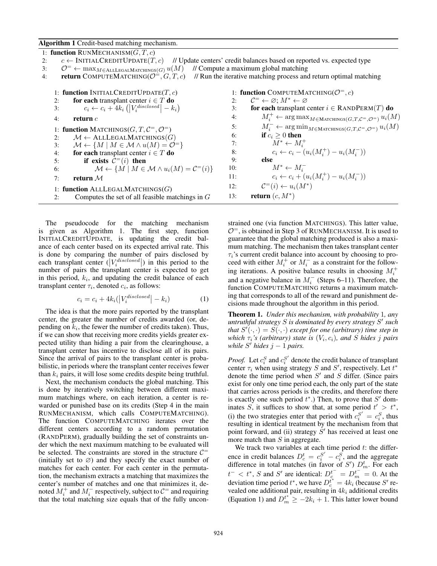Algorithm 1 Credit-based matching mechanism.

| 1: function RUNMECHANISM $(G, T, c)$                                                                                                   |                                                                                                        |
|----------------------------------------------------------------------------------------------------------------------------------------|--------------------------------------------------------------------------------------------------------|
| $c \leftarrow \text{INITIALCREDITIONATE}(T, c)$<br>// Update centers' credit balances based on reported vs. expected type<br>2:        |                                                                                                        |
| $\mathcal{O}^=$ $\leftarrow$ max <sub>M</sub> $\in$ ALLLEGALMATCHINGS( <i>G</i> ) $u(M)$<br>// Compute a maximum global matching<br>3: |                                                                                                        |
| <b>return</b> COMPUTEMATCHING( $\mathcal{O}^=$ , G, T, c)<br>4:                                                                        | // Run the iterative matching process and return optimal matching                                      |
| 1: function INITIALCREDITUPDATE $(T, c)$                                                                                               | 1: function COMPUTEMATCHING( $\mathcal{O}^=$ , c)                                                      |
| for each transplant center $i \in T$ do                                                                                                | $\mathcal{C}^= \leftarrow \varnothing$ ; $M^* \leftarrow \varnothing$                                  |
| 2:                                                                                                                                     | 2:                                                                                                     |
| $c_i \leftarrow c_i + 4k_i \left(  V_i^{disclosed}  - k_i \right)$                                                                     | for each transplant center $i \in$ RANDPERM(T) do                                                      |
| 3:                                                                                                                                     | 3:                                                                                                     |
| 4:                                                                                                                                     | $M_i^+ \leftarrow \arg \max_{M \in \text{Marchings}(G, T, \mathcal{C}^= , \mathcal{O}^=)} u_i(M)$      |
| return $c$                                                                                                                             | 4:                                                                                                     |
| 1: function MATCHINGS( $G, T, C^=$ , $\mathcal{O}^=$ )                                                                                 | $M_i^- \leftarrow \arg\min_{M \in \text{MATCHINGS}(G, T, \mathcal{C}^= , \mathcal{O}^=)} u_i(M)$<br>5: |
| $\mathcal{M} \leftarrow$ ALLLEGALMATCHINGS(G)                                                                                          | if $c_i \geq 0$ then                                                                                   |
| 2:                                                                                                                                     | 6:                                                                                                     |
| $\mathcal{M} \leftarrow \{M \mid M \in \mathcal{M} \wedge u(M) = \mathcal{O}^{\equiv}\}\$                                              | $M^* \leftarrow M_i^+$                                                                                 |
| 3:                                                                                                                                     | 7:                                                                                                     |
| for each transplant center $i \in T$ do                                                                                                | $c_i \leftarrow c_i - (u_i(M_i^+) - u_i(M_i^-))$                                                       |
| 4:                                                                                                                                     | 8:                                                                                                     |
| if exists $C^=(i)$ then                                                                                                                | else                                                                                                   |
| 5:                                                                                                                                     | 9:                                                                                                     |
| $\mathcal{M} \leftarrow \{ M \mid M \in \mathcal{M} \land u_i(M) = C^=(i) \}$                                                          | $M^* \leftarrow M_i^-$                                                                                 |
| 6:                                                                                                                                     | 10:                                                                                                    |
| return $\mathcal M$                                                                                                                    | $c_i \leftarrow c_i + (u_i(M_i^+) - u_i(M_i^-))$                                                       |
| 7:                                                                                                                                     | 11:                                                                                                    |
| 1: function ALLLEGALMATCHINGS $(G)$                                                                                                    | $\mathcal{C}^=(i) \leftarrow u_i(M^*)$<br>12:                                                          |
| Computes the set of all feasible matchings in $G$                                                                                      | return $(c, M^*)$                                                                                      |
| 2:                                                                                                                                     | 13:                                                                                                    |
|                                                                                                                                        |                                                                                                        |

The pseudocode for the matching mechanism is given as Algorithm 1. The first step, function INITIALCREDITUPDATE, is updating the credit balance of each center based on its expected arrival rate. This is done by comparing the number of pairs disclosed by each transplant center  $(|V_i^{disclosed}|)$  in this period to the number of pairs the transplant center is expected to get in this period,  $k_i$ , and updating the credit balance of each transplant center  $\tau_i$ , denoted  $c_i$ , as follows:

$$
c_i = c_i + 4k_i(|V_i^{disclosed}| - k_i)
$$
 (1)

The idea is that the more pairs reported by the transplant center, the greater the number of credits awarded (or, depending on  $k_i$ , the fewer the number of credits taken). Thus, if we can show that receiving more credits yields greater expected utility than hiding a pair from the clearinghouse, a transplant center has incentive to disclose all of its pairs. Since the arrival of pairs to the transplant center is probabilistic, in periods where the transplant center receives fewer than  $k_i$  pairs, it will lose some credits despite being truthful.

Next, the mechanism conducts the global matching. This is done by iteratively switching between different maximum matchings where, on each iteration, a center is rewarded or punished base on its credits (Step 4 in the main RUNMECHANISM, which calls COMPUTEMATCHING). The function COMPUTEMATCHING iterates over the different centers according to a random permutation (RANDPERM), gradually building the set of constraints under which the next maximum matching to be evaluated will be selected. The constraints are stored in the structure  $C =$ (initially set to  $\varnothing$ ) and they specify the exact number of matches for each center. For each center in the permutation, the mechanism extracts a matching that maximizes the center's number of matches and one that minimizes it, denoted  $M_i^+$  and  $M_i^-$  respectively, subject to  $\mathcal{C}^-$  and requiring that the total matching size equals that of the fully unconstrained one (via function MATCHINGS). This latter value,  $\mathcal{O}^=$ , is obtained in Step 3 of RUNMECHANISM. It is used to guarantee that the global matching produced is also a maximum matching. The mechanism then takes transplant center  $\tau_i$ 's current credit balance into account by choosing to proceed with either  $M_i^+$  or  $M_i^-$  as a constraint for the following iterations. A positive balance results in choosing  $M_i^+$ and a negative balance in  $M_i^-$  (Steps 6–11). Therefore, the function COMPUTEMATCHING returns a maximum matching that corresponds to all of the reward and punishment decisions made throughout the algorithm in this period.

Theorem 1. *Under this mechanism, with probability* 1*, any untruthful strategy* S *is dominated by every strategy* S 0 *such that*  $S'(\cdot, \cdot) = S(\cdot, \cdot)$  *except for one (arbitrary) time step in which*  $\tau_i$ *'s (arbitrary) state is*  $(V_i, c_i)$ *, and S hides j pairs while*  $S'$  *hides*  $j - 1$  *pairs.* 

*Proof.* Let  $c_i^S$  and  $c_i^{S'}$  denote the credit balance of transplant center  $\tau_i$  when using strategy S and S', respectively. Let  $t^*$ denote the time period when  $S'$  and  $S$  differ. (Since pairs exist for only one time period each, the only part of the state that carries across periods is the credits, and therefore there is exactly one such period  $t^*$ .) Then, to prove that  $S'$  dominates S, it suffices to show that, at some period  $t' > t^*$ , (i) the two strategies enter that period with  $c_1^{S'} = c_i^S$ , thus resulting in identical treatment by the mechanism from that point forward, and (ii) strategy  $S'$  has received at least one more match than  $S$  in aggregate.

We track two variables at each time period  $t$ : the difference in credit balances  $D_c^t = c_i^{S'} - c_i^S$ , and the aggregate difference in total matches (in favor of  $S'$ )  $D_m^t$ . For each  $t^- < t^*$ , S and S' are identical:  $D_c^{t^-} = D_m^{t^-} = 0$ . At the deviation time period  $t^*$ , we have  $D_t^{t^*} = 4k_i$  (because  $S'$  revealed one additional pair, resulting in  $4k_i$  additional credits (Equation 1) and  $D_{m}^{t^*} \ge -2k_i + 1$ . This latter lower bound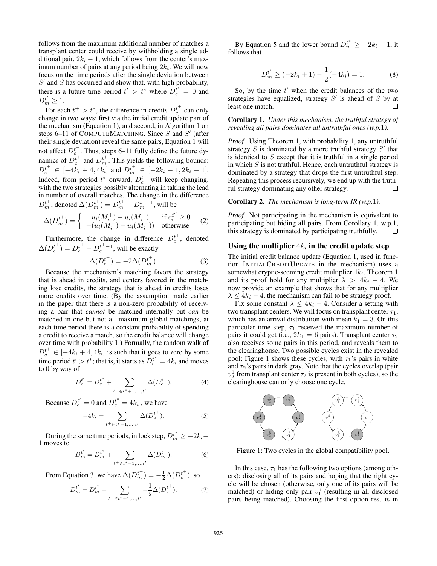follows from the maximum additional number of matches a transplant center could receive by withholding a single additional pair,  $2k_i - 1$ , which follows from the center's maximum number of pairs at any period being  $2k_i$ . We will now focus on the time periods after the single deviation between  $S'$  and  $S$  has occurred and show that, with high probability, there is a future time period  $t' > t^*$  where  $D_c^{t'} = 0$  and  $D_m^{t'}\geq 1.$ 

For each  $t^+ > t^*$ , the difference in credits  $D_c^{t^+}$  can only change in two ways: first via the initial credit update part of the mechanism (Equation 1), and second, in Algorithm 1 on steps 6–11 of COMPUTEMATCHING. Since  $S$  and  $S'$  (after their single deviation) reveal the same pairs, Equation 1 will not affect  $D_c^{t^+}$ . Thus, steps 6–11 fully define the future dynamics of  $D_c^{t^+}$  and  $D_m^{t^+}$ . This yields the following bounds:  $D_c^{t^+} \in [-4k_i + 4, 4k_i]$  and  $D_m^{t^+} \in [-2k_i + 1, 2k_i - 1]$ . Indeed, from period  $t^*$  onward,  $D_c^{t^+}$  will keep changing, with the two strategies possibly alternating in taking the lead in number of overall matches. The change in the difference  $D_m^{t^+}$ , denoted  $\Delta(D_m^{t^+}) = D_m^{t^+} - D_m^{t^+-1}$ , will be

$$
\Delta(D_m^{t+}) = \begin{cases} u_i(M_i^+) - u_i(M_i^-) & \text{if } c_i^{S'} \ge 0\\ - (u_i(M_i^+) - u_i(M_i^-)) & \text{otherwise} \end{cases}
$$
 (2)

Furthermore, the change in difference  $D_c^{t^+}$ , denoted  $\Delta(D_c^{t^+}) = D_c^{t^+} - D_c^{t^+-1}$ , will be exactly

$$
\Delta(D_c^{t^+}) = -2\Delta(D_m^{t^+}).\tag{3}
$$

Because the mechanism's matching favors the strategy that is ahead in credits, and centers favored in the matching lose credits, the strategy that is ahead in credits loses more credits over time. (By the assumption made earlier in the paper that there is a non-zero probability of receiving a pair that *cannot* be matched internally but *can* be matched in one but not all maximum global matchings, at each time period there is a constant probability of spending a credit to receive a match, so the credit balance will change over time with probability 1.) Formally, the random walk of  $D_c^{t^+} \in [-4k_i + 4, 4k_i]$  is such that it goes to zero by some time period  $t' > t^*$ ; that is, it starts as  $D_c^{t^*} = 4k_i$  and moves to 0 by way of

$$
D_c^{t'} = D_c^{t^*} + \sum_{t^+ \in t^* + 1, ..., t'} \Delta(D_c^{t^+}).
$$
 (4)

Because  $D_c^{t'} = 0$  and  $D_c^{t^*} = 4k_i$  , we have

$$
-4k_i = \sum_{t^+ \in t^*+1, ..., t'} \Delta(D_c^{t^+}).
$$
 (5)

During the same time periods, in lock step,  $D_m^{t^*} \ge -2k_i +$ 1 moves to

$$
D_m^{t'} = D_m^{t^*} + \sum_{t^+ \in t^* + 1, \dots, t'} \Delta(D_m^{t^+}).
$$
 (6)

From Equation 3, we have  $\Delta(D_{m}^{t+}) = -\frac{1}{2}\Delta(D_{c}^{t+})$ , so

$$
D_m^{t'} = D_m^{t^*} + \sum_{t^+ \in t^* + 1, \dots, t'} -\frac{1}{2} \Delta (D_c^{t^+}). \tag{7}
$$

By Equation 5 and the lower bound  $D_m^{t^*} \ge -2k_i + 1$ , it follows that

$$
D_m^{t'} \ge (-2k_i + 1) - \frac{1}{2}(-4k_i) = 1.
$$
 (8)

So, by the time  $t'$  when the credit balances of the two strategies have equalized, strategy  $S'$  is ahead of  $S$  by at least one match.  $\Box$ 

Corollary 1. *Under this mechanism, the truthful strategy of revealing all pairs dominates all untruthful ones (w.p.*1*).*

*Proof.* Using Theorem 1, with probability 1, any untruthful strategy  $S$  is dominated by a more truthful strategy  $S'$  that is identical to  $S$  except that it is truthful in a single period in which  $S$  is not truthful. Hence, each untruthful strategy is dominated by a strategy that drops the first untruthful step. Repeating this process recursively, we end up with the truthful strategy dominating any other strategy.  $\Box$ 

#### Corollary 2. *The mechanism is long-term IR (w.p.*1*).*

*Proof.* Not participating in the mechanism is equivalent to participating but hiding all pairs. From Corollary 1, w.p.1, this strategy is dominated by participating truthfully.  $\Box$ 

# Using the multiplier  $4k_i$  in the credit update step

The initial credit balance update (Equation 1, used in function INITIALCREDITUPDATE in the mechanism) uses a somewhat cryptic-seeming credit multiplier  $4k_i$ . Theorem 1 and its proof hold for any multiplier  $\lambda > 4k_i - 4$ . We now provide an example that shows that for any multiplier  $\lambda \leq 4k_i - 4$ , the mechanism can fail to be strategy proof.

Fix some constant  $\lambda \leq 4k_i - 4$ . Consider a setting with two transplant centers. We will focus on transplant center  $\tau_1$ , which has an arrival distribution with mean  $k_1 = 3$ . On this particular time step,  $\tau_1$  received the maximum number of pairs it could get (i.e.,  $2k_1 = 6$  pairs). Transplant center  $\tau_2$ also receives some pairs in this period, and reveals them to the clearinghouse. Two possible cycles exist in the revealed pool; Figure 1 shows these cycles, with  $\tau_1$ 's pairs in white and  $\tau_2$ 's pairs in dark gray. Note that the cycles overlap (pair  $v_2^1$  from transplant center  $\tau_2$  is present in both cycles), so the clearinghouse can only choose one cycle.



Figure 1: Two cycles in the global compatibility pool.

In this case,  $\tau_1$  has the following two options (among others): disclosing all of its pairs and hoping that the right cycle will be chosen (otherwise, only one of its pairs will be matched) or hiding only pair  $v_1^6$  (resulting in all disclosed pairs being matched). Choosing the first option results in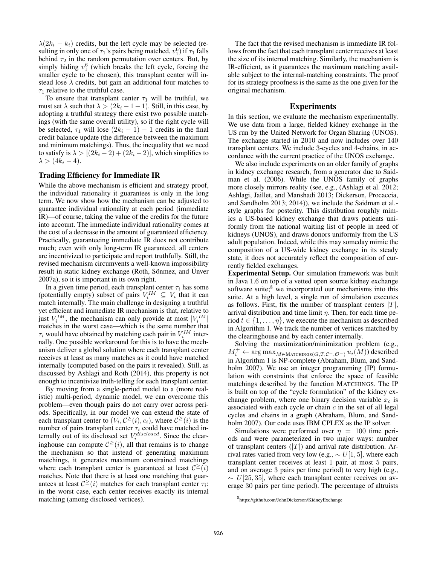$\lambda(2k_i - k_i)$  credits, but the left cycle may be selected (resulting in only one of  $\tau_1$ 's pairs being matched,  $v_1^6$ ) if  $\tau_1$  falls behind  $\tau_2$  in the random permutation over centers. But, by simply hiding  $v_1^6$  (which breaks the left cycle, forcing the smaller cycle to be chosen), this transplant center will instead lose  $\lambda$  credits, but gain an additional four matches to  $\tau_1$  relative to the truthful case.

To ensure that transplant center  $\tau_1$  will be truthful, we must set  $\lambda$  such that  $\lambda > (2k_i - 1 - 1)$ . Still, in this case, by adopting a truthful strategy there exist two possible matchings (with the same overall utility), so if the right cycle will be selected,  $\tau_1$  will lose  $(2k_i - 1) - 1$  credits in the final credit balance update (the difference between the maximum and minimum matchings). Thus, the inequality that we need to satisfy is  $\lambda > [(2k_i - 2) + (2k_i - 2)]$ , which simplifies to  $\lambda > (4k_i - 4).$ 

#### Trading Efficiency for Immediate IR

While the above mechanism is efficient and strategy proof, the individual rationality it guarantees is only in the long term. We now show how the mechanism can be adjusted to guarantee individual rationality at each period (immediate IR)—of course, taking the value of the credits for the future into account. The immediate individual rationality comes at the cost of a decrease in the amount of guaranteed efficiency. Practically, guaranteeing immediate IR does not contribute much; even with only long-term IR guaranteed, all centers are incentivized to participate and report truthfully. Still, the revised mechanism circumvents a well-known impossibility result in static kidney exchange (Roth, Sönmez, and Ünver 2007a), so it is important in its own right.

In a given time period, each transplant center  $\tau_i$  has some (potentially empty) subset of pairs  $V_i^M \subseteq V_i$  that it can match internally. The main challenge in designing a truthful yet efficient and immediate IR mechanism is that, relative to just  $V_i^{IM}$ , the mechanism can only provide at most  $|V_i^{IM}|$ matches in the worst case—which is the same number that  $\tau_i$  would have obtained by matching each pair in  $V_i^{IM}$  internally. One possible workaround for this is to have the mechanism deliver a global solution where each transplant center receives at least as many matches as it could have matched internally (computed based on the pairs it revealed). Still, as discussed by Ashlagi and Roth (2014), this property is not enough to incentivize truth-telling for each transplant center.

By moving from a single-period model to a (more realistic) multi-period, dynamic model, we can overcome this problem—even though pairs do not carry over across periods. Specifically, in our model we can extend the state of each transplant center to  $(V_i, C^{\geq}(i), c_i)$ , where  $C^{\geq}(i)$  is the number of pairs transplant center  $\tau_i$  could have matched internally out of its disclosed set  $V_i^{disclosed}$ . Since the clearinghouse can compute  $C^{\geq}(i)$ , all that remains is to change the mechanism so that instead of generating maximum matchings, it generates maximum constrained matchings where each transplant center is guaranteed at least  $C^{\geq}(i)$ matches. Note that there is at least one matching that guarantees at least  $C^{\geq}(i)$  matches for each transplant center  $\tau_i$ : in the worst case, each center receives exactly its internal matching (among disclosed vertices).

The fact that the revised mechanism is immediate IR follows from the fact that each transplant center receives at least the size of its internal matching. Similarly, the mechanism is IR-efficient, as it guarantees the maximum matching available subject to the internal-matching constraints. The proof for its strategy proofness is the same as the one given for the original mechanism.

## Experiments

In this section, we evaluate the mechanism experimentally. We use data from a large, fielded kidney exchange in the US run by the United Network for Organ Sharing (UNOS). The exchange started in 2010 and now includes over 140 transplant centers. We include 3-cycles and 4-chains, in accordance with the current practice of the UNOS exchange.

We also include experiments on an older family of graphs in kidney exchange research, from a generator due to Saidman et al. (2006). While the UNOS family of graphs more closely mirrors reality (see, e.g., (Ashlagi et al. 2012; Ashlagi, Jaillet, and Manshadi 2013; Dickerson, Procaccia, and Sandholm 2013; 2014)), we include the Saidman et al. style graphs for posterity. This distribution roughly mimics a US-based kidney exchange that draws patients uniformly from the national waiting list of people in need of kidneys (UNOS), and draws donors uniformly from the US adult population. Indeed, while this may someday mimic the composition of a US-wide kidney exchange in its steady state, it does not accurately reflect the composition of currently fielded exchanges.

Experimental Setup. Our simulation framework was built in Java 1.6 on top of a vetted open source kidney exchange software suite; $8$  we incorporated our mechanisms into this suite. At a high level, a single run of simulation executes as follows. First, fix the number of transplant centers  $|T|$ , arrival distribution and time limit  $\eta$ . Then, for each time period  $t \in \{1, \ldots, \eta\}$ , we execute the mechanism as described in Algorithm 1. We track the number of vertices matched by the clearinghouse and by each center internally.

Solving the maximization/minimization problem (e.g.,  $M_i^+ \leftarrow \argmax_{M \in \text{MATCHINGS}(G, T, \mathcal{C}^=,\mathcal{O}^=)} u_i(M))$  described in Algorithm 1 is NP-complete (Abraham, Blum, and Sandholm 2007). We use an integer programming (IP) formulation with constraints that enforce the space of feasible matchings described by the function MATCHINGS. The IP is built on top of the "cycle formulation" of the kidney exchange problem, where one binary decision variable  $x_c$  is associated with each cycle or chain  $c$  in the set of all legal cycles and chains in a graph (Abraham, Blum, and Sandholm 2007). Our code uses IBM CPLEX as the IP solver.

Simulations were performed over  $\eta = 100$  time periods and were parameterized in two major ways: number of transplant centers  $(|T|)$  and arrival rate distribution. Arrival rates varied from very low (e.g.,  $\sim U[1, 5]$ , where each transplant center receives at least 1 pair, at most 5 pairs, and on average 3 pairs per time period) to very high (e.g.,  $\sim U[25, 35]$ , where each transplant center receives on average 30 pairs per time period). The percentage of altruists

<sup>8</sup> https://github.com/JohnDickerson/KidneyExchange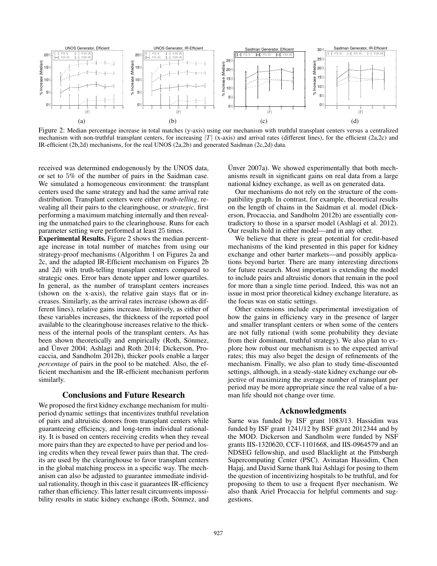

Figure 2: Median percentage increase in total matches (y-axis) using our mechanism with truthful transplant centers versus a centralized mechanism with non-truthful transplant centers, for increasing  $|T|$  (x-axis) and arrival rates (different lines), for the efficient (2a,2c) and IR-efficient (2b,2d) mechanisms, for the real UNOS (2a,2b) and generated Saidman (2c,2d) data.

received was determined endogenously by the UNOS data, or set to 5% of the number of pairs in the Saidman case. We simulated a homogeneous environment: the transplant centers used the same strategy and had the same arrival rate distribution. Transplant centers were either *truth-telling*, revealing all their pairs to the clearinghouse, or *strategic*, first performing a maximum matching internally and then revealing the unmatched pairs to the clearinghouse. Runs for each parameter setting were performed at least 25 times.

Experimental Results. Figure 2 shows the median percentage increase in total number of matches from using our strategy-proof mechanisms (Algorithm 1 on Figures 2a and 2c, and the adapted IR-Efficient mechanism on Figures 2b and 2d) with truth-telling transplant centers compared to strategic ones. Error bars denote upper and lower quartiles. In general, as the number of transplant centers increases (shown on the x-axis), the relative gain stays flat or increases. Similarly, as the arrival rates increase (shown as different lines), relative gains increase. Intuitively, as either of these variables increases, the thickness of the reported pool available to the clearinghouse increases relative to the thickness of the internal pools of the transplant centers. As has been shown theoretically and empirically (Roth, Sönmez, and Unver 2004; Ashlagi and Roth 2014; Dickerson, Procaccia, and Sandholm 2012b), thicker pools enable a larger *percentage* of pairs in the pool to be matched. Also, the efficient mechanism and the IR-efficient mechanism perform similarly.

### Conclusions and Future Research

We proposed the first kidney exchange mechanism for multiperiod dynamic settings that incentivizes truthful revelation of pairs and altruistic donors from transplant centers while guaranteeing efficiency, and long-term individual rationality. It is based on centers receiving credits when they reveal more pairs than they are expected to have per period and losing credits when they reveal fewer pairs than that. The credits are used by the clearinghouse to favor transplant centers in the global matching process in a specific way. The mechanism can also be adjusted to guarantee immediate individual rationality, though in this case it guarantees IR-efficiency rather than efficiency. This latter result circumvents impossibility results in static kidney exchange (Roth, Sönmez, and

Unver  $2007a$ ). We showed experimentally that both mechanisms result in significant gains on real data from a large national kidney exchange, as well as on generated data.

Our mechanisms do not rely on the structure of the compatibility graph. In contrast, for example, theoretical results on the length of chains in the Saidman et al. model (Dickerson, Procaccia, and Sandholm 2012b) are essentially contradictory to those in a sparser model (Ashlagi et al. 2012). Our results hold in either model—and in any other.

We believe that there is great potential for credit-based mechanisms of the kind presented in this paper for kidney exchange and other barter markets—and possibly applications beyond barter. There are many interesting directions for future research. Most important is extending the model to include pairs and altruistic donors that remain in the pool for more than a single time period. Indeed, this was not an issue in most prior theoretical kidney exchange literature, as the focus was on static settings.

Other extensions include experimental investigation of how the gains in efficiency vary in the presence of larger and smaller transplant centers or when some of the centers are not fully rational (with some probability they deviate from their dominant, truthful strategy). We also plan to explore how robust our mechanism is to the expected arrival rates; this may also beget the design of refinements of the mechanism. Finally, we also plan to study time-discounted settings, although, in a steady-state kidney exchange our objective of maximizing the average number of transplant per period may be more appropriate since the real value of a human life should not change over time.

## Acknowledgments

Sarne was funded by ISF grant 1083/13. Hassidim was funded by ISF grant 1241/12 by BSF grant 2012344 and by the MOD. Dickerson and Sandholm were funded by NSF grants IIS-1320620, CCF-1101668, and IIS-0964579 and an NDSEG fellowship, and used Blacklight at the Pittsburgh Supercomputing Center (PSC). Avinatan Hassidim, Chen Hajaj, and David Sarne thank Itai Ashlagi for posing to them the question of incentivizing hospitals to be truthful, and for proposing to them to use a frequent flyer mechanism. We also thank Ariel Procaccia for helpful comments and suggestions.